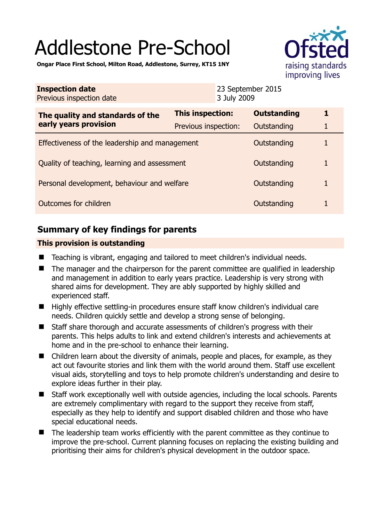# Addlestone Pre-School



**Ongar Place First School, Milton Road, Addlestone, Surrey, KT15 1NY** 

| <b>Inspection date</b><br>Previous inspection date        |                         | 23 September 2015<br>3 July 2009 |                    |  |
|-----------------------------------------------------------|-------------------------|----------------------------------|--------------------|--|
| The quality and standards of the<br>early years provision | <b>This inspection:</b> |                                  | <b>Outstanding</b> |  |
|                                                           | Previous inspection:    |                                  | Outstanding        |  |
| Effectiveness of the leadership and management            |                         |                                  | Outstanding        |  |
| Quality of teaching, learning and assessment              |                         |                                  | Outstanding        |  |
| Personal development, behaviour and welfare               |                         |                                  | Outstanding        |  |
| Outcomes for children                                     |                         |                                  | Outstanding        |  |

# **Summary of key findings for parents**

## **This provision is outstanding**

- Teaching is vibrant, engaging and tailored to meet children's individual needs.
- The manager and the chairperson for the parent committee are qualified in leadership and management in addition to early years practice. Leadership is very strong with shared aims for development. They are ably supported by highly skilled and experienced staff.
- Highly effective settling-in procedures ensure staff know children's individual care needs. Children quickly settle and develop a strong sense of belonging.
- Staff share thorough and accurate assessments of children's progress with their parents. This helps adults to link and extend children's interests and achievements at home and in the pre-school to enhance their learning.
- Children learn about the diversity of animals, people and places, for example, as they act out favourite stories and link them with the world around them. Staff use excellent visual aids, storytelling and toys to help promote children's understanding and desire to explore ideas further in their play.
- Staff work exceptionally well with outside agencies, including the local schools. Parents are extremely complimentary with regard to the support they receive from staff, especially as they help to identify and support disabled children and those who have special educational needs.
- The leadership team works efficiently with the parent committee as they continue to improve the pre-school. Current planning focuses on replacing the existing building and prioritising their aims for children's physical development in the outdoor space.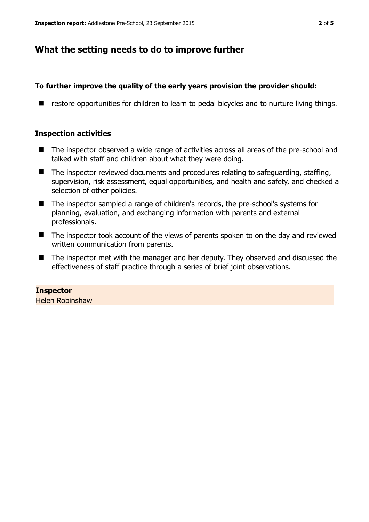## **What the setting needs to do to improve further**

## **To further improve the quality of the early years provision the provider should:**

■ restore opportunities for children to learn to pedal bicycles and to nurture living things.

### **Inspection activities**

- The inspector observed a wide range of activities across all areas of the pre-school and talked with staff and children about what they were doing.
- The inspector reviewed documents and procedures relating to safeguarding, staffing, supervision, risk assessment, equal opportunities, and health and safety, and checked a selection of other policies.
- The inspector sampled a range of children's records, the pre-school's systems for planning, evaluation, and exchanging information with parents and external professionals.
- The inspector took account of the views of parents spoken to on the day and reviewed written communication from parents.
- The inspector met with the manager and her deputy. They observed and discussed the effectiveness of staff practice through a series of brief joint observations.

## **Inspector**

Helen Robinshaw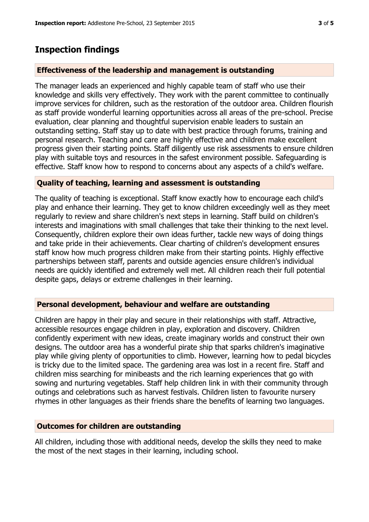## **Inspection findings**

#### **Effectiveness of the leadership and management is outstanding**

The manager leads an experienced and highly capable team of staff who use their knowledge and skills very effectively. They work with the parent committee to continually improve services for children, such as the restoration of the outdoor area. Children flourish as staff provide wonderful learning opportunities across all areas of the pre-school. Precise evaluation, clear planning and thoughtful supervision enable leaders to sustain an outstanding setting. Staff stay up to date with best practice through forums, training and personal research. Teaching and care are highly effective and children make excellent progress given their starting points. Staff diligently use risk assessments to ensure children play with suitable toys and resources in the safest environment possible. Safeguarding is effective. Staff know how to respond to concerns about any aspects of a child's welfare.

#### **Quality of teaching, learning and assessment is outstanding**

The quality of teaching is exceptional. Staff know exactly how to encourage each child's play and enhance their learning. They get to know children exceedingly well as they meet regularly to review and share children's next steps in learning. Staff build on children's interests and imaginations with small challenges that take their thinking to the next level. Consequently, children explore their own ideas further, tackle new ways of doing things and take pride in their achievements. Clear charting of children's development ensures staff know how much progress children make from their starting points. Highly effective partnerships between staff, parents and outside agencies ensure children's individual needs are quickly identified and extremely well met. All children reach their full potential despite gaps, delays or extreme challenges in their learning.

#### **Personal development, behaviour and welfare are outstanding**

Children are happy in their play and secure in their relationships with staff. Attractive, accessible resources engage children in play, exploration and discovery. Children confidently experiment with new ideas, create imaginary worlds and construct their own designs. The outdoor area has a wonderful pirate ship that sparks children's imaginative play while giving plenty of opportunities to climb. However, learning how to pedal bicycles is tricky due to the limited space. The gardening area was lost in a recent fire. Staff and children miss searching for minibeasts and the rich learning experiences that go with sowing and nurturing vegetables. Staff help children link in with their community through outings and celebrations such as harvest festivals. Children listen to favourite nursery rhymes in other languages as their friends share the benefits of learning two languages.

#### **Outcomes for children are outstanding**

All children, including those with additional needs, develop the skills they need to make the most of the next stages in their learning, including school.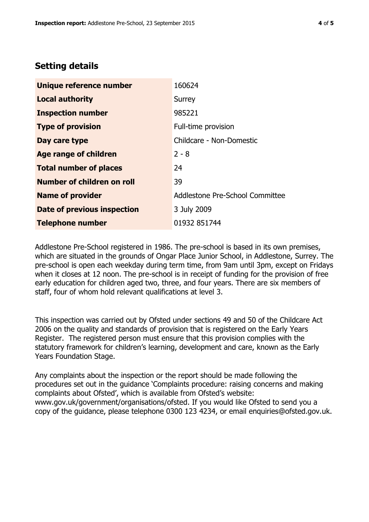# **Setting details**

| Unique reference number       | 160624                          |  |
|-------------------------------|---------------------------------|--|
| <b>Local authority</b>        | Surrey                          |  |
| <b>Inspection number</b>      | 985221                          |  |
| <b>Type of provision</b>      | Full-time provision             |  |
| Day care type                 | Childcare - Non-Domestic        |  |
| <b>Age range of children</b>  | $2 - 8$                         |  |
| <b>Total number of places</b> | 24                              |  |
| Number of children on roll    | 39                              |  |
| <b>Name of provider</b>       | Addlestone Pre-School Committee |  |
| Date of previous inspection   | 3 July 2009                     |  |
| <b>Telephone number</b>       | 01932 851744                    |  |

Addlestone Pre-School registered in 1986. The pre-school is based in its own premises, which are situated in the grounds of Ongar Place Junior School, in Addlestone, Surrey. The pre-school is open each weekday during term time, from 9am until 3pm, except on Fridays when it closes at 12 noon. The pre-school is in receipt of funding for the provision of free early education for children aged two, three, and four years. There are six members of staff, four of whom hold relevant qualifications at level 3.

This inspection was carried out by Ofsted under sections 49 and 50 of the Childcare Act 2006 on the quality and standards of provision that is registered on the Early Years Register. The registered person must ensure that this provision complies with the statutory framework for children's learning, development and care, known as the Early Years Foundation Stage.

Any complaints about the inspection or the report should be made following the procedures set out in the guidance 'Complaints procedure: raising concerns and making complaints about Ofsted', which is available from Ofsted's website: www.gov.uk/government/organisations/ofsted. If you would like Ofsted to send you a copy of the guidance, please telephone 0300 123 4234, or email enquiries@ofsted.gov.uk.